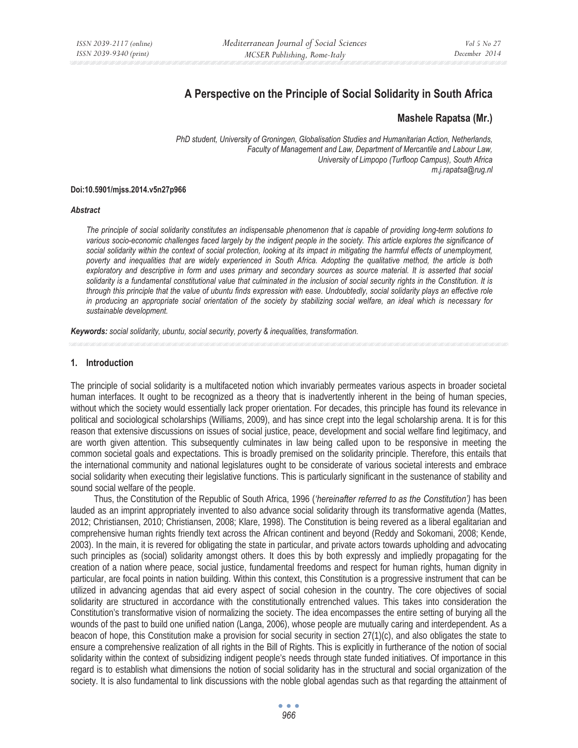# **A Perspective on the Principle of Social Solidarity in South Africa**

## **Mashele Rapatsa (Mr.)**

*PhD student, University of Groningen, Globalisation Studies and Humanitarian Action, Netherlands, Faculty of Management and Law, Department of Mercantile and Labour Law, University of Limpopo (Turfloop Campus), South Africa m.j.rapatsa@rug.nl* 

#### **Doi:10.5901/mjss.2014.v5n27p966**

#### *Abstract*

*The principle of social solidarity constitutes an indispensable phenomenon that is capable of providing long-term solutions to*  various socio-economic challenges faced largely by the indigent people in the society. This article explores the significance of *social solidarity within the context of social protection, looking at its impact in mitigating the harmful effects of unemployment, poverty and inequalities that are widely experienced in South Africa. Adopting the qualitative method, the article is both*  exploratory and descriptive in form and uses primary and secondary sources as source material. It is asserted that social *solidarity is a fundamental constitutional value that culminated in the inclusion of social security rights in the Constitution. It is through this principle that the value of ubuntu finds expression with ease. Undoubtedly, social solidarity plays an effective role in producing an appropriate social orientation of the society by stabilizing social welfare, an ideal which is necessary for sustainable development.* 

*Keywords: social solidarity, ubuntu, social security, poverty & inequalities, transformation.* 

#### **1. Introduction**

The principle of social solidarity is a multifaceted notion which invariably permeates various aspects in broader societal human interfaces. It ought to be recognized as a theory that is inadvertently inherent in the being of human species, without which the society would essentially lack proper orientation. For decades, this principle has found its relevance in political and sociological scholarships (Williams, 2009), and has since crept into the legal scholarship arena. It is for this reason that extensive discussions on issues of social justice, peace, development and social welfare find legitimacy, and are worth given attention. This subsequently culminates in law being called upon to be responsive in meeting the common societal goals and expectations. This is broadly premised on the solidarity principle. Therefore, this entails that the international community and national legislatures ought to be considerate of various societal interests and embrace social solidarity when executing their legislative functions. This is particularly significant in the sustenance of stability and sound social welfare of the people.

Thus, the Constitution of the Republic of South Africa, 1996 (*'hereinafter referred to as the Constitution')* has been lauded as an imprint appropriately invented to also advance social solidarity through its transformative agenda (Mattes, 2012; Christiansen, 2010; Christiansen, 2008; Klare, 1998). The Constitution is being revered as a liberal egalitarian and comprehensive human rights friendly text across the African continent and beyond (Reddy and Sokomani, 2008; Kende, 2003). In the main, it is revered for obligating the state in particular, and private actors towards upholding and advocating such principles as (social) solidarity amongst others. It does this by both expressly and impliedly propagating for the creation of a nation where peace, social justice, fundamental freedoms and respect for human rights, human dignity in particular, are focal points in nation building. Within this context, this Constitution is a progressive instrument that can be utilized in advancing agendas that aid every aspect of social cohesion in the country. The core objectives of social solidarity are structured in accordance with the constitutionally entrenched values. This takes into consideration the Constitution's transformative vision of normalizing the society. The idea encompasses the entire setting of burying all the wounds of the past to build one unified nation (Langa, 2006), whose people are mutually caring and interdependent. As a beacon of hope, this Constitution make a provision for social security in section 27(1)(c), and also obligates the state to ensure a comprehensive realization of all rights in the Bill of Rights. This is explicitly in furtherance of the notion of social solidarity within the context of subsidizing indigent people's needs through state funded initiatives. Of importance in this regard is to establish what dimensions the notion of social solidarity has in the structural and social organization of the society. It is also fundamental to link discussions with the noble global agendas such as that regarding the attainment of

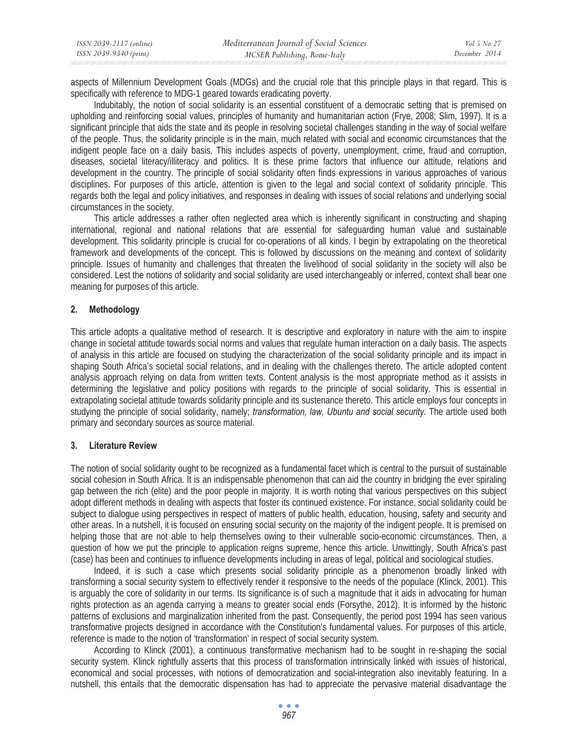| ISSN 2039-2117 (online) | Mediterranean Journal of Social Sciences | Vol 5 No 27   |
|-------------------------|------------------------------------------|---------------|
| ISSN 2039-9340 (print)  | MCSER Publishing, Rome-Italy             | December 2014 |

aspects of Millennium Development Goals (MDGs) and the crucial role that this principle plays in that regard. This is specifically with reference to MDG-1 geared towards eradicating poverty.

Indubitably, the notion of social solidarity is an essential constituent of a democratic setting that is premised on upholding and reinforcing social values, principles of humanity and humanitarian action (Frye, 2008; Slim, 1997). It is a significant principle that aids the state and its people in resolving societal challenges standing in the way of social welfare of the people. Thus, the solidarity principle is in the main, much related with social and economic circumstances that the indigent people face on a daily basis. This includes aspects of poverty, unemployment, crime, fraud and corruption, diseases, societal literacy/illiteracy and politics. It is these prime factors that influence our attitude, relations and development in the country. The principle of social solidarity often finds expressions in various approaches of various disciplines. For purposes of this article, attention is given to the legal and social context of solidarity principle. This regards both the legal and policy initiatives, and responses in dealing with issues of social relations and underlying social circumstances in the society.

This article addresses a rather often neglected area which is inherently significant in constructing and shaping international, regional and national relations that are essential for safeguarding human value and sustainable development. This solidarity principle is crucial for co-operations of all kinds. I begin by extrapolating on the theoretical framework and developments of the concept. This is followed by discussions on the meaning and context of solidarity principle. Issues of humanity and challenges that threaten the livelihood of social solidarity in the society will also be considered. Lest the notions of solidarity and social solidarity are used interchangeably or inferred, context shall bear one meaning for purposes of this article.

### **2. Methodology**

This article adopts a qualitative method of research. It is descriptive and exploratory in nature with the aim to inspire change in societal attitude towards social norms and values that regulate human interaction on a daily basis. The aspects of analysis in this article are focused on studying the characterization of the social solidarity principle and its impact in shaping South Africa's societal social relations, and in dealing with the challenges thereto. The article adopted content analysis approach relying on data from written texts. Content analysis is the most appropriate method as it assists in determining the legislative and policy positions with regards to the principle of social solidarity. This is essential in extrapolating societal attitude towards solidarity principle and its sustenance thereto. This article employs four concepts in studying the principle of social solidarity, namely; *transformation, law, Ubuntu and social security.* The article used both primary and secondary sources as source material.

#### **3. Literature Review**

The notion of social solidarity ought to be recognized as a fundamental facet which is central to the pursuit of sustainable social cohesion in South Africa. It is an indispensable phenomenon that can aid the country in bridging the ever spiraling gap between the rich (elite) and the poor people in majority. It is worth noting that various perspectives on this subject adopt different methods in dealing with aspects that foster its continued existence. For instance, social solidarity could be subject to dialogue using perspectives in respect of matters of public health, education, housing, safety and security and other areas. In a nutshell, it is focused on ensuring social security on the majority of the indigent people. It is premised on helping those that are not able to help themselves owing to their vulnerable socio-economic circumstances. Then, a question of how we put the principle to application reigns supreme, hence this article. Unwittingly, South Africa's past (case) has been and continues to influence developments including in areas of legal, political and sociological studies.

Indeed, it is such a case which presents social solidarity principle as a phenomenon broadly linked with transforming a social security system to effectively render it responsive to the needs of the populace (Klinck, 2001). This is arguably the core of solidarity in our terms. Its significance is of such a magnitude that it aids in advocating for human rights protection as an agenda carrying a means to greater social ends (Forsythe, 2012). It is informed by the historic patterns of exclusions and marginalization inherited from the past. Consequently, the period post 1994 has seen various transformative projects designed in accordance with the Constitution's fundamental values. For purposes of this article, reference is made to the notion of 'transformation' in respect of social security system.

According to Klinck (2001), a continuous transformative mechanism had to be sought in re-shaping the social security system. Klinck rightfully asserts that this process of transformation intrinsically linked with issues of historical, economical and social processes, with notions of democratization and social-integration also inevitably featuring. In a nutshell, this entails that the democratic dispensation has had to appreciate the pervasive material disadvantage the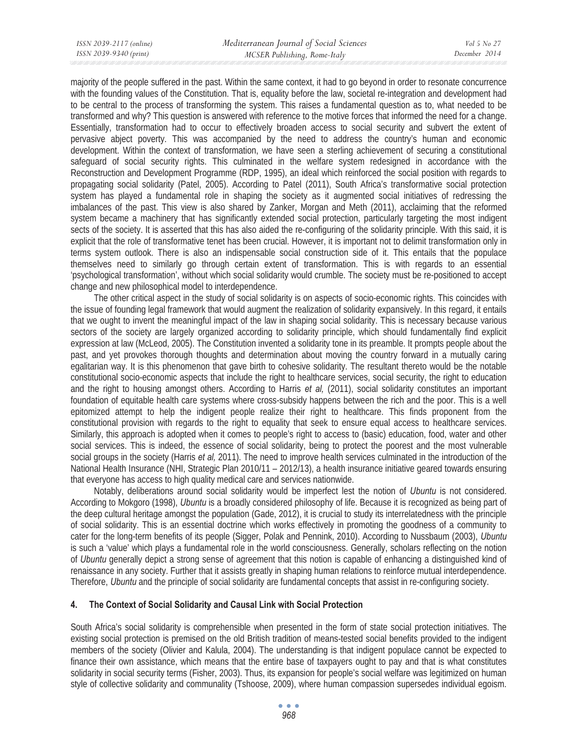majority of the people suffered in the past. Within the same context, it had to go beyond in order to resonate concurrence with the founding values of the Constitution. That is, equality before the law, societal re-integration and development had to be central to the process of transforming the system. This raises a fundamental question as to, what needed to be transformed and why? This question is answered with reference to the motive forces that informed the need for a change. Essentially, transformation had to occur to effectively broaden access to social security and subvert the extent of pervasive abject poverty. This was accompanied by the need to address the country's human and economic development. Within the context of transformation, we have seen a sterling achievement of securing a constitutional safeguard of social security rights. This culminated in the welfare system redesigned in accordance with the Reconstruction and Development Programme (RDP, 1995), an ideal which reinforced the social position with regards to propagating social solidarity (Patel, 2005). According to Patel (2011), South Africa's transformative social protection system has played a fundamental role in shaping the society as it augmented social initiatives of redressing the imbalances of the past. This view is also shared by Zanker, Morgan and Meth (2011), acclaiming that the reformed system became a machinery that has significantly extended social protection, particularly targeting the most indigent sects of the society. It is asserted that this has also aided the re-configuring of the solidarity principle. With this said, it is explicit that the role of transformative tenet has been crucial. However, it is important not to delimit transformation only in terms system outlook. There is also an indispensable social construction side of it. This entails that the populace themselves need to similarly go through certain extent of transformation. This is with regards to an essential 'psychological transformation', without which social solidarity would crumble. The society must be re-positioned to accept change and new philosophical model to interdependence.

The other critical aspect in the study of social solidarity is on aspects of socio-economic rights. This coincides with the issue of founding legal framework that would augment the realization of solidarity expansively. In this regard, it entails that we ought to invent the meaningful impact of the law in shaping social solidarity. This is necessary because various sectors of the society are largely organized according to solidarity principle, which should fundamentally find explicit expression at law (McLeod, 2005). The Constitution invented a solidarity tone in its preamble. It prompts people about the past, and yet provokes thorough thoughts and determination about moving the country forward in a mutually caring egalitarian way. It is this phenomenon that gave birth to cohesive solidarity. The resultant thereto would be the notable constitutional socio-economic aspects that include the right to healthcare services, social security, the right to education and the right to housing amongst others. According to Harris *et al,* (2011), social solidarity constitutes an important foundation of equitable health care systems where cross-subsidy happens between the rich and the poor. This is a well epitomized attempt to help the indigent people realize their right to healthcare. This finds proponent from the constitutional provision with regards to the right to equality that seek to ensure equal access to healthcare services. Similarly, this approach is adopted when it comes to people's right to access to (basic) education, food, water and other social services. This is indeed, the essence of social solidarity, being to protect the poorest and the most vulnerable social groups in the society (Harris *et al,* 2011). The need to improve health services culminated in the introduction of the National Health Insurance (NHI, Strategic Plan 2010/11 – 2012/13), a health insurance initiative geared towards ensuring that everyone has access to high quality medical care and services nationwide.

Notably, deliberations around social solidarity would be imperfect lest the notion of *Ubuntu* is not considered. According to Mokgoro (1998), *Ubuntu* is a broadly considered philosophy of life. Because it is recognized as being part of the deep cultural heritage amongst the population (Gade, 2012), it is crucial to study its interrelatedness with the principle of social solidarity. This is an essential doctrine which works effectively in promoting the goodness of a community to cater for the long-term benefits of its people (Sigger, Polak and Pennink, 2010). According to Nussbaum (2003), *Ubuntu*  is such a 'value' which plays a fundamental role in the world consciousness. Generally, scholars reflecting on the notion of *Ubuntu* generally depict a strong sense of agreement that this notion is capable of enhancing a distinguished kind of renaissance in any society. Further that it assists greatly in shaping human relations to reinforce mutual interdependence. Therefore, *Ubuntu* and the principle of social solidarity are fundamental concepts that assist in re-configuring society.

### **4. The Context of Social Solidarity and Causal Link with Social Protection**

South Africa's social solidarity is comprehensible when presented in the form of state social protection initiatives. The existing social protection is premised on the old British tradition of means-tested social benefits provided to the indigent members of the society (Olivier and Kalula, 2004). The understanding is that indigent populace cannot be expected to finance their own assistance, which means that the entire base of taxpayers ought to pay and that is what constitutes solidarity in social security terms (Fisher, 2003). Thus, its expansion for people's social welfare was legitimized on human style of collective solidarity and communality (Tshoose, 2009), where human compassion supersedes individual egoism.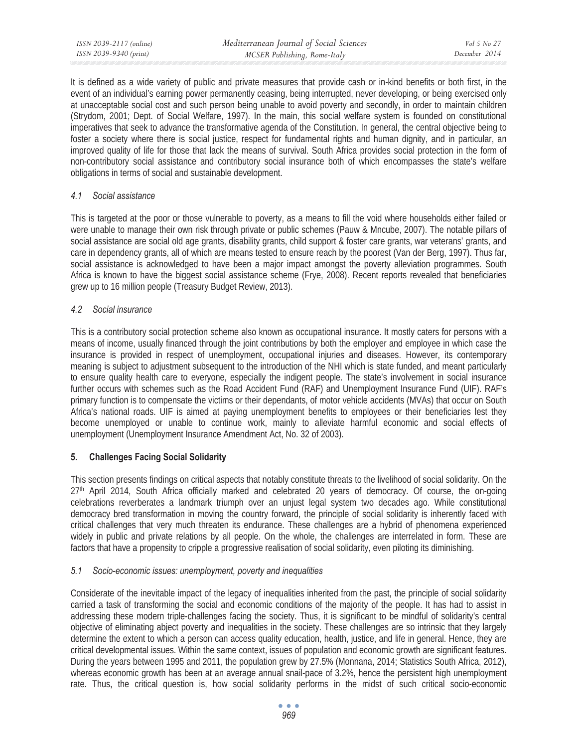It is defined as a wide variety of public and private measures that provide cash or in-kind benefits or both first, in the event of an individual's earning power permanently ceasing, being interrupted, never developing, or being exercised only at unacceptable social cost and such person being unable to avoid poverty and secondly, in order to maintain children (Strydom, 2001; Dept. of Social Welfare, 1997). In the main, this social welfare system is founded on constitutional imperatives that seek to advance the transformative agenda of the Constitution. In general, the central objective being to foster a society where there is social justice, respect for fundamental rights and human dignity, and in particular, an improved quality of life for those that lack the means of survival. South Africa provides social protection in the form of non-contributory social assistance and contributory social insurance both of which encompasses the state's welfare obligations in terms of social and sustainable development.

## *4.1 Social assistance*

This is targeted at the poor or those vulnerable to poverty, as a means to fill the void where households either failed or were unable to manage their own risk through private or public schemes (Pauw & Mncube, 2007). The notable pillars of social assistance are social old age grants, disability grants, child support & foster care grants, war veterans' grants, and care in dependency grants, all of which are means tested to ensure reach by the poorest (Van der Berg, 1997). Thus far, social assistance is acknowledged to have been a major impact amongst the poverty alleviation programmes. South Africa is known to have the biggest social assistance scheme (Frye, 2008). Recent reports revealed that beneficiaries grew up to 16 million people (Treasury Budget Review, 2013).

# *4.2 Social insurance*

This is a contributory social protection scheme also known as occupational insurance. It mostly caters for persons with a means of income, usually financed through the joint contributions by both the employer and employee in which case the insurance is provided in respect of unemployment, occupational injuries and diseases. However, its contemporary meaning is subject to adjustment subsequent to the introduction of the NHI which is state funded, and meant particularly to ensure quality health care to everyone, especially the indigent people. The state's involvement in social insurance further occurs with schemes such as the Road Accident Fund (RAF) and Unemployment Insurance Fund (UIF). RAF's primary function is to compensate the victims or their dependants, of motor vehicle accidents (MVAs) that occur on South Africa's national roads. UIF is aimed at paying unemployment benefits to employees or their beneficiaries lest they become unemployed or unable to continue work, mainly to alleviate harmful economic and social effects of unemployment (Unemployment Insurance Amendment Act, No. 32 of 2003).

# **5. Challenges Facing Social Solidarity**

This section presents findings on critical aspects that notably constitute threats to the livelihood of social solidarity. On the 27th April 2014, South Africa officially marked and celebrated 20 years of democracy. Of course, the on-going celebrations reverberates a landmark triumph over an unjust legal system two decades ago. While constitutional democracy bred transformation in moving the country forward, the principle of social solidarity is inherently faced with critical challenges that very much threaten its endurance. These challenges are a hybrid of phenomena experienced widely in public and private relations by all people. On the whole, the challenges are interrelated in form. These are factors that have a propensity to cripple a progressive realisation of social solidarity, even piloting its diminishing.

# *5.1 Socio-economic issues: unemployment, poverty and inequalities*

Considerate of the inevitable impact of the legacy of inequalities inherited from the past, the principle of social solidarity carried a task of transforming the social and economic conditions of the majority of the people. It has had to assist in addressing these modern triple-challenges facing the society. Thus, it is significant to be mindful of solidarity's central objective of eliminating abject poverty and inequalities in the society. These challenges are so intrinsic that they largely determine the extent to which a person can access quality education, health, justice, and life in general. Hence, they are critical developmental issues. Within the same context, issues of population and economic growth are significant features. During the years between 1995 and 2011, the population grew by 27.5% (Monnana, 2014; Statistics South Africa, 2012), whereas economic growth has been at an average annual snail-pace of 3.2%, hence the persistent high unemployment rate. Thus, the critical question is, how social solidarity performs in the midst of such critical socio-economic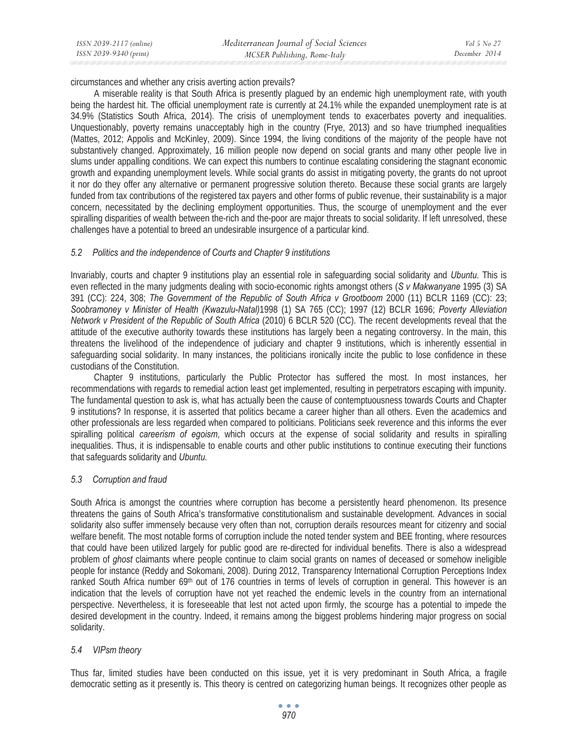circumstances and whether any crisis averting action prevails?

A miserable reality is that South Africa is presently plagued by an endemic high unemployment rate, with youth being the hardest hit. The official unemployment rate is currently at 24.1% while the expanded unemployment rate is at 34.9% (Statistics South Africa, 2014). The crisis of unemployment tends to exacerbates poverty and inequalities. Unquestionably, poverty remains unacceptably high in the country (Frye, 2013) and so have triumphed inequalities (Mattes, 2012; Appolis and McKinley, 2009). Since 1994, the living conditions of the majority of the people have not substantively changed. Approximately, 16 million people now depend on social grants and many other people live in slums under appalling conditions. We can expect this numbers to continue escalating considering the stagnant economic growth and expanding unemployment levels. While social grants do assist in mitigating poverty, the grants do not uproot it nor do they offer any alternative or permanent progressive solution thereto. Because these social grants are largely funded from tax contributions of the registered tax payers and other forms of public revenue, their sustainability is a major concern, necessitated by the declining employment opportunities. Thus, the scourge of unemployment and the ever spiralling disparities of wealth between the-rich and the-poor are major threats to social solidarity. If left unresolved, these challenges have a potential to breed an undesirable insurgence of a particular kind.

## *5.2 Politics and the independence of Courts and Chapter 9 institutions*

Invariably, courts and chapter 9 institutions play an essential role in safeguarding social solidarity and *Ubuntu*. This is even reflected in the many judgments dealing with socio-economic rights amongst others (*S v Makwanyane* 1995 (3) SA 391 (CC): 224, 308; *The Government of the Republic of South Africa v Grootboom* 2000 (11) BCLR 1169 (CC): 23; *Soobramoney v Minister of Health (Kwazulu-Natal)*1998 (1) SA 765 (CC); 1997 (12) BCLR 1696; *Poverty Alleviation Network v President of the Republic of South Africa* (2010) 6 BCLR 520 (CC). The recent developments reveal that the attitude of the executive authority towards these institutions has largely been a negating controversy. In the main, this threatens the livelihood of the independence of judiciary and chapter 9 institutions, which is inherently essential in safeguarding social solidarity. In many instances, the politicians ironically incite the public to lose confidence in these custodians of the Constitution.

Chapter 9 institutions, particularly the Public Protector has suffered the most. In most instances, her recommendations with regards to remedial action least get implemented, resulting in perpetrators escaping with impunity. The fundamental question to ask is, what has actually been the cause of contemptuousness towards Courts and Chapter 9 institutions? In response, it is asserted that politics became a career higher than all others. Even the academics and other professionals are less regarded when compared to politicians. Politicians seek reverence and this informs the ever spiralling political *careerism of egoism*, which occurs at the expense of social solidarity and results in spiralling inequalities. Thus, it is indispensable to enable courts and other public institutions to continue executing their functions that safeguards solidarity and *Ubuntu.* 

### *5.3 Corruption and fraud*

South Africa is amongst the countries where corruption has become a persistently heard phenomenon. Its presence threatens the gains of South Africa's transformative constitutionalism and sustainable development. Advances in social solidarity also suffer immensely because very often than not, corruption derails resources meant for citizenry and social welfare benefit. The most notable forms of corruption include the noted tender system and BEE fronting, where resources that could have been utilized largely for public good are re-directed for individual benefits. There is also a widespread problem of *ghost* claimants where people continue to claim social grants on names of deceased or somehow ineligible people for instance (Reddy and Sokomani, 2008). During 2012, Transparency International Corruption Perceptions Index ranked South Africa number 69<sup>th</sup> out of 176 countries in terms of levels of corruption in general. This however is an indication that the levels of corruption have not yet reached the endemic levels in the country from an international perspective. Nevertheless, it is foreseeable that lest not acted upon firmly, the scourge has a potential to impede the desired development in the country. Indeed, it remains among the biggest problems hindering major progress on social solidarity.

# *5.4 VIPsm theory*

Thus far, limited studies have been conducted on this issue, yet it is very predominant in South Africa, a fragile democratic setting as it presently is. This theory is centred on categorizing human beings. It recognizes other people as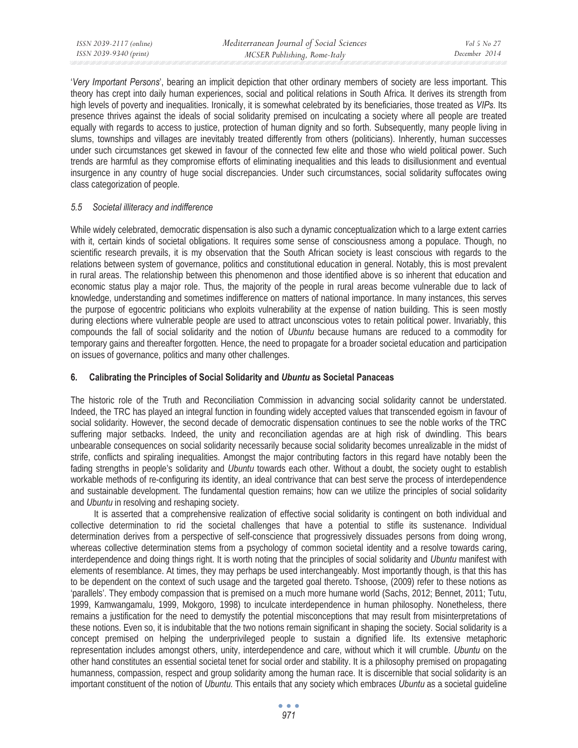'*Very Important Persons*', bearing an implicit depiction that other ordinary members of society are less important. This theory has crept into daily human experiences, social and political relations in South Africa. It derives its strength from high levels of poverty and inequalities. Ironically, it is somewhat celebrated by its beneficiaries, those treated as *VIPs*. Its presence thrives against the ideals of social solidarity premised on inculcating a society where all people are treated equally with regards to access to justice, protection of human dignity and so forth. Subsequently, many people living in slums, townships and villages are inevitably treated differently from others (politicians). Inherently, human successes under such circumstances get skewed in favour of the connected few elite and those who wield political power. Such trends are harmful as they compromise efforts of eliminating inequalities and this leads to disillusionment and eventual insurgence in any country of huge social discrepancies. Under such circumstances, social solidarity suffocates owing class categorization of people.

### *5.5 Societal illiteracy and indifference*

While widely celebrated, democratic dispensation is also such a dynamic conceptualization which to a large extent carries with it, certain kinds of societal obligations. It requires some sense of consciousness among a populace. Though, no scientific research prevails, it is my observation that the South African society is least conscious with regards to the relations between system of governance, politics and constitutional education in general. Notably, this is most prevalent in rural areas. The relationship between this phenomenon and those identified above is so inherent that education and economic status play a major role. Thus, the majority of the people in rural areas become vulnerable due to lack of knowledge, understanding and sometimes indifference on matters of national importance. In many instances, this serves the purpose of egocentric politicians who exploits vulnerability at the expense of nation building. This is seen mostly during elections where vulnerable people are used to attract unconscious votes to retain political power. Invariably, this compounds the fall of social solidarity and the notion of *Ubuntu* because humans are reduced to a commodity for temporary gains and thereafter forgotten*.* Hence, the need to propagate for a broader societal education and participation on issues of governance, politics and many other challenges.

# **6. Calibrating the Principles of Social Solidarity and** *Ubuntu* **as Societal Panaceas**

The historic role of the Truth and Reconciliation Commission in advancing social solidarity cannot be understated. Indeed, the TRC has played an integral function in founding widely accepted values that transcended egoism in favour of social solidarity. However, the second decade of democratic dispensation continues to see the noble works of the TRC suffering major setbacks. Indeed, the unity and reconciliation agendas are at high risk of dwindling. This bears unbearable consequences on social solidarity necessarily because social solidarity becomes unrealizable in the midst of strife, conflicts and spiraling inequalities. Amongst the major contributing factors in this regard have notably been the fading strengths in people's solidarity and *Ubuntu* towards each other*.* Without a doubt, the society ought to establish workable methods of re-configuring its identity, an ideal contrivance that can best serve the process of interdependence and sustainable development. The fundamental question remains; how can we utilize the principles of social solidarity and *Ubuntu* in resolving and reshaping society.

It is asserted that a comprehensive realization of effective social solidarity is contingent on both individual and collective determination to rid the societal challenges that have a potential to stifle its sustenance. Individual determination derives from a perspective of self-conscience that progressively dissuades persons from doing wrong, whereas collective determination stems from a psychology of common societal identity and a resolve towards caring, interdependence and doing things right. It is worth noting that the principles of social solidarity and *Ubuntu* manifest with elements of resemblance. At times, they may perhaps be used interchangeably. Most importantly though, is that this has to be dependent on the context of such usage and the targeted goal thereto. Tshoose, (2009) refer to these notions as 'parallels'. They embody compassion that is premised on a much more humane world (Sachs, 2012; Bennet, 2011; Tutu, 1999, Kamwangamalu, 1999, Mokgoro, 1998) to inculcate interdependence in human philosophy. Nonetheless, there remains a justification for the need to demystify the potential misconceptions that may result from misinterpretations of these notions. Even so, it is indubitable that the two notions remain significant in shaping the society. Social solidarity is a concept premised on helping the underprivileged people to sustain a dignified life. Its extensive metaphoric representation includes amongst others, unity, interdependence and care, without which it will crumble. *Ubuntu* on the other hand constitutes an essential societal tenet for social order and stability. It is a philosophy premised on propagating humanness, compassion, respect and group solidarity among the human race. It is discernible that social solidarity is an important constituent of the notion of *Ubuntu.* This entails that any society which embraces *Ubuntu* as a societal guideline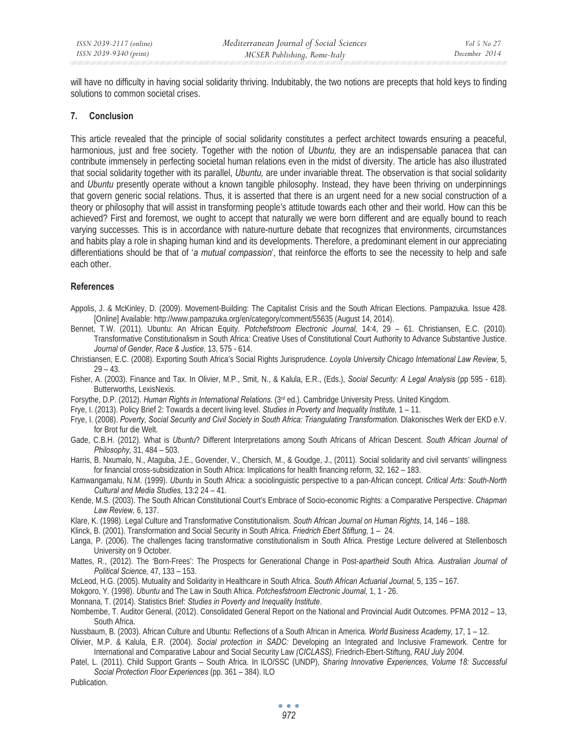will have no difficulty in having social solidarity thriving. Indubitably, the two notions are precepts that hold keys to finding solutions to common societal crises.

#### **7. Conclusion**

This article revealed that the principle of social solidarity constitutes a perfect architect towards ensuring a peaceful, harmonious, just and free society. Together with the notion of *Ubuntu,* they are an indispensable panacea that can contribute immensely in perfecting societal human relations even in the midst of diversity. The article has also illustrated that social solidarity together with its parallel, *Ubuntu,* are under invariable threat. The observation is that social solidarity and *Ubuntu* presently operate without a known tangible philosophy. Instead, they have been thriving on underpinnings that govern generic social relations. Thus, it is asserted that there is an urgent need for a new social construction of a theory or philosophy that will assist in transforming people's attitude towards each other and their world. How can this be achieved? First and foremost, we ought to accept that naturally we were born different and are equally bound to reach varying successes. This is in accordance with nature-nurture debate that recognizes that environments, circumstances and habits play a role in shaping human kind and its developments. Therefore, a predominant element in our appreciating differentiations should be that of '*a mutual compassion*', that reinforce the efforts to see the necessity to help and safe each other.

#### **References**

Appolis, J. & McKinley, D. (2009). Movement-Building: The Capitalist Crisis and the South African Elections. Pampazuka. Issue 428. [Online] Available: http://www.pampazuka.org/en/category/comment/55635 (August 14, 2014).

Bennet, T.W. (2011). Ubuntu: An African Equity. *Potchefstroom Electronic Journal,* 14:4, 29 – 61. Christiansen, E.C. (2010). Transformative Constitutionalism in South Africa: Creative Uses of Constitutional Court Authority to Advance Substantive Justice. *Journal of Gender, Race & Justice,* 13, 575 - 614.

Christiansen, E.C. (2008). Exporting South Africa's Social Rights Jurisprudence. *Loyola University Chicago International Law Review,* 5, 29 – 43.

Fisher, A. (2003). Finance and Tax. In Olivier, M.P., Smit, N., & Kalula, E.R., (Eds.), *Social Security: A Legal Analysis* (pp 595 - 618). Butterworths, LexisNexis.

Forsythe, D.P. (2012). *Human Rights in International Relations.* (3rd ed.). Cambridge University Press. United Kingdom.

Frye, I. (2013). Policy Brief 2: Towards a decent living level. *Studies in Poverty and Inequality Institute,* 1 – 11.

Frye, I. (2008). *Poverty, Social Security and Civil Society in South Africa: Triangulating Transformation.* Dlakonisches Werk der EKD e.V. for Brot fur die Welt.

Gade, C.B.H. (2012). What is *Ubuntu*? Different Interpretations among South Africans of African Descent. *South African Journal of Philosophy,* 31, 484 – 503.

Harris, B. Nxumalo, N., Ataguba, J.E., Govender, V., Chersich, M., & Goudge, J., (2011). Social solidarity and civil servants' willingness for financial cross-subsidization in South Africa: Implications for health financing reform, 32, 162 – 183.

Kamwangamalu, N.M. (1999). *Ubuntu* in South Africa: a sociolinguistic perspective to a pan-African concept. *Critical Arts: South-North Cultural and Media Studies,* 13:2 24 – 41.

Kende, M.S. (2003). The South African Constitutional Court's Embrace of Socio-economic Rights: a Comparative Perspective. *Chapman Law Review,* 6, 137.

Klare, K. (1998). Legal Culture and Transformative Constitutionalism. *South African Journal on Human Rights*, 14, 146 – 188.

Klinck, B. (2001). Transformation and Social Security in South Africa. *Friedrich Ebert Stiftung,* 1 – 24.

Langa, P. (2006). The challenges facing transformative constitutionalism in South Africa. Prestige Lecture delivered at Stellenbosch University on 9 October.

Mattes, R., (2012). The 'Born-Frees': The Prospects for Generational Change in Post-*apartheid* South Africa. *Australian Journal of Political Science,* 47, 133 – 153.

McLeod, H.G. (2005). Mutuality and Solidarity in Healthcare in South Africa. *South African Actuarial Journal,* 5, 135 – 167.

Mokgoro, Y. (1998). *Ubuntu* and The Law in South Africa. *Potchesfstroom Electronic Journal,* 1, 1 - 26.

Monnana, T. (2014). Statistics Brief: *Studies in Poverty and Inequality Institute*.

Nombembe, T. Auditor General, (2012). Consolidated General Report on the National and Provincial Audit Outcomes. PFMA 2012 – 13, South Africa.

Nussbaum, B. (2003). African Culture and Ubuntu: Reflections of a South African in America*. World Business Academy,* 17, 1 – 12.

Olivier, M.P. & Kalula, E.R. (2004). *Social protection in SADC:* Developing an Integrated and Inclusive Framework. Centre for International and Comparative Labour and Social Security Law *(CICLASS),* Friedrich-Ebert-Stiftung, *RAU July 2004*.

Patel, L. (2011). Child Support Grants – South Africa. In ILO/SSC (UNDP), *Sharing Innovative Experiences, Volume 18: Successful Social Protection Floor Experiences* (pp. 361 – 384). ILO

Publication.